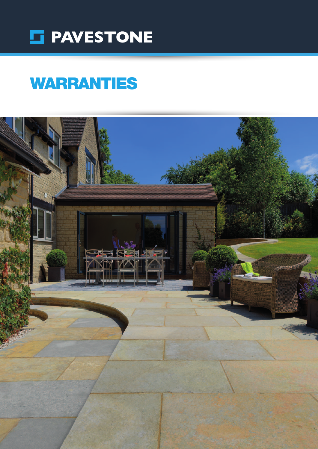

# WARRANTIES